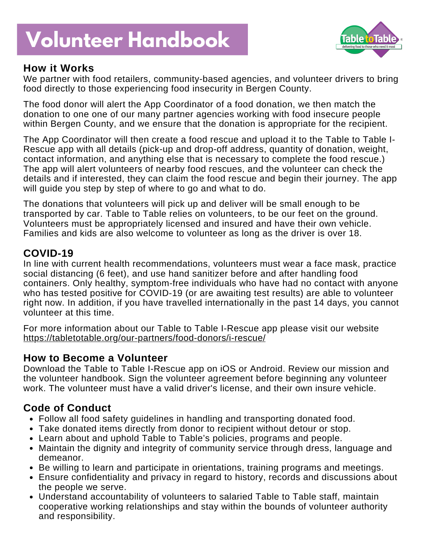# **Volunteer Handbook**



## **How it Works**

We partner with food retailers, community-based agencies, and volunteer drivers to bring food directly to those experiencing food insecurity in Bergen County.

The food donor will alert the App Coordinator of a food donation, we then match the donation to one one of our many partner agencies working with food insecure people within Bergen County, and we ensure that the donation is appropriate for the recipient.

The App Coordinator will then create a food rescue and upload it to the Table to Table I-Rescue app with all details (pick-up and drop-off address, quantity of donation, weight, contact information, and anything else that is necessary to complete the food rescue.) The app will alert volunteers of nearby food rescues, and the volunteer can check the details and if interested, they can claim the food rescue and begin their journey. The app will guide you step by step of where to go and what to do.

The donations that volunteers will pick up and deliver will be small enough to be transported by car. Table to Table relies on volunteers, to be our feet on the ground. Volunteers must be appropriately licensed and insured and have their own vehicle. Families and kids are also welcome to volunteer as long as the driver is over 18.

## **COVID-19**

In line with current health recommendations, volunteers must wear a face mask, practice social distancing (6 feet), and use hand sanitizer before and after handling food containers. Only healthy, symptom-free individuals who have had no contact with anyone who has tested positive for COVID-19 (or are awaiting test results) are able to volunteer right now. In addition, if you have travelled internationally in the past 14 days, you cannot volunteer at this time.

For more information about our Table to Table I-Rescue app please visit our website <https://tabletotable.org/our-partners/food-donors/i-rescue/>

### **How to Become a Volunteer**

Download the Table to Table I-Rescue app on iOS or Android. Review our mission and the volunteer handbook. Sign the volunteer agreement before beginning any volunteer work. The volunteer must have a valid driver's license, and their own insure vehicle.

## **Code of Conduct**

- Follow all food safety guidelines in handling and transporting donated food.
- Take donated items directly from donor to recipient without detour or stop.
- Learn about and uphold Table to Table's policies, programs and people.
- Maintain the dignity and integrity of community service through dress, language and demeanor.
- Be willing to learn and participate in orientations, training programs and meetings.
- Ensure confidentiality and privacy in regard to history, records and discussions about the people we serve.
- Understand accountability of volunteers to salaried Table to Table staff, maintain cooperative working relationships and stay within the bounds of volunteer authority and responsibility.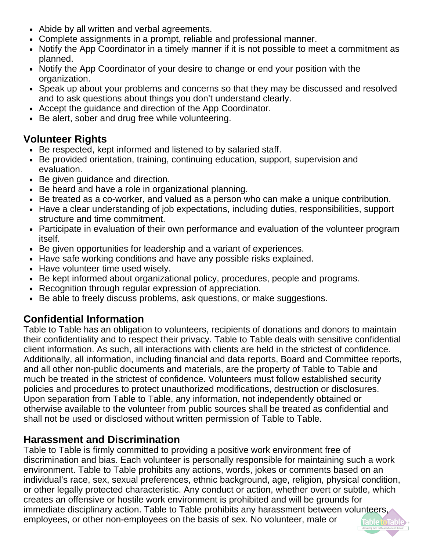- Abide by all written and verbal agreements.
- Complete assignments in a prompt, reliable and professional manner.
- Notify the App Coordinator in a timely manner if it is not possible to meet a commitment as planned.
- Notify the App Coordinator of your desire to change or end your position with the organization.
- Speak up about your problems and concerns so that they may be discussed and resolved and to ask questions about things you don't understand clearly.
- Accept the guidance and direction of the App Coordinator.
- Be alert, sober and drug free while volunteering.

## **Volunteer Rights**

- Be respected, kept informed and listened to by salaried staff.
- Be provided orientation, training, continuing education, support, supervision and evaluation.
- Be given guidance and direction.
- Be heard and have a role in organizational planning.
- Be treated as a co-worker, and valued as a person who can make a unique contribution.
- Have a clear understanding of job expectations, including duties, responsibilities, support structure and time commitment.
- Participate in evaluation of their own performance and evaluation of the volunteer program itself.
- Be given opportunities for leadership and a variant of experiences.
- Have safe working conditions and have any possible risks explained.
- Have volunteer time used wisely.
- Be kept informed about organizational policy, procedures, people and programs.
- Recognition through regular expression of appreciation.
- Be able to freely discuss problems, ask questions, or make suggestions.

## **Confidential Information**

Table to Table has an obligation to volunteers, recipients of donations and donors to maintain their confidentiality and to respect their privacy. Table to Table deals with sensitive confidential client information. As such, all interactions with clients are held in the strictest of confidence. Additionally, all information, including financial and data reports, Board and Committee reports, and all other non-public documents and materials, are the property of Table to Table and much be treated in the strictest of confidence. Volunteers must follow established security policies and procedures to protect unauthorized modifications, destruction or disclosures. Upon separation from Table to Table, any information, not independently obtained or otherwise available to the volunteer from public sources shall be treated as confidential and shall not be used or disclosed without written permission of Table to Table.

## **Harassment and Discrimination**

Table to Table is firmly committed to providing a positive work environment free of discrimination and bias. Each volunteer is personally responsible for maintaining such a work environment. Table to Table prohibits any actions, words, jokes or comments based on an individual's race, sex, sexual preferences, ethnic background, age, religion, physical condition, or other legally protected characteristic. Any conduct or action, whether overt or subtle, which creates an offensive or hostile work environment is prohibited and will be grounds for immediate disciplinary action. Table to Table prohibits any harassment between volunteers, employees, or other non-employees on the basis of sex. No volunteer, male or